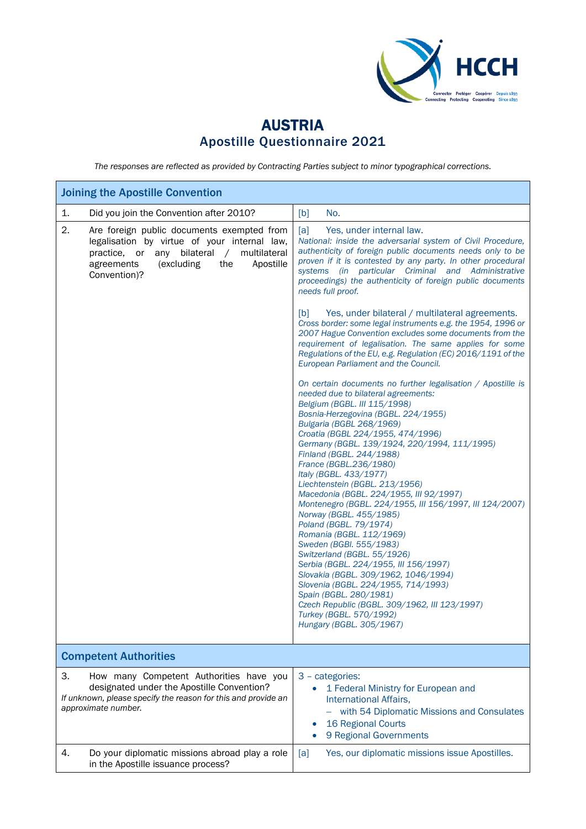

## AUSTRIA Apostille Questionnaire 2021

*The responses are reflected as provided by Contracting Parties subject to minor typographical corrections.*

| <b>Joining the Apostille Convention</b>                                                                                                                                                                          |                                                                                                                                                                                                                                                                                                                                                                                                                                                                                                                                                                                                                                                                                                                                                                                                                                                                                                                         |  |  |
|------------------------------------------------------------------------------------------------------------------------------------------------------------------------------------------------------------------|-------------------------------------------------------------------------------------------------------------------------------------------------------------------------------------------------------------------------------------------------------------------------------------------------------------------------------------------------------------------------------------------------------------------------------------------------------------------------------------------------------------------------------------------------------------------------------------------------------------------------------------------------------------------------------------------------------------------------------------------------------------------------------------------------------------------------------------------------------------------------------------------------------------------------|--|--|
| 1.<br>Did you join the Convention after 2010?                                                                                                                                                                    | No.<br>[b]                                                                                                                                                                                                                                                                                                                                                                                                                                                                                                                                                                                                                                                                                                                                                                                                                                                                                                              |  |  |
| 2.<br>Are foreign public documents exempted from<br>legalisation by virtue of your internal law,<br>practice, or any bilateral /<br>multilateral<br>(excluding<br>the<br>Apostille<br>agreements<br>Convention)? | [a]<br>Yes, under internal law.<br>National: inside the adversarial system of Civil Procedure,<br>authenticity of foreign public documents needs only to be<br>proven if it is contested by any party. In other procedural<br>systems (in particular Criminal and Administrative<br>proceedings) the authenticity of foreign public documents<br>needs full proof.                                                                                                                                                                                                                                                                                                                                                                                                                                                                                                                                                      |  |  |
|                                                                                                                                                                                                                  | [b]<br>Yes, under bilateral / multilateral agreements.<br>Cross border: some legal instruments e.g. the 1954, 1996 or<br>2007 Hague Convention excludes some documents from the<br>requirement of legalisation. The same applies for some<br>Regulations of the EU, e.g. Regulation (EC) 2016/1191 of the<br>European Parliament and the Council.                                                                                                                                                                                                                                                                                                                                                                                                                                                                                                                                                                       |  |  |
|                                                                                                                                                                                                                  | On certain documents no further legalisation / Apostille is<br>needed due to bilateral agreements:<br>Belgium (BGBL. III 115/1998)<br>Bosnia-Herzegovina (BGBL. 224/1955)<br>Bulgaria (BGBL 268/1969)<br>Croatia (BGBL 224/1955, 474/1996)<br>Germany (BGBL. 139/1924, 220/1994, 111/1995)<br>Finland (BGBL. 244/1988)<br>France (BGBL.236/1980)<br>Italy (BGBL. 433/1977)<br>Liechtenstein (BGBL. 213/1956)<br>Macedonia (BGBL. 224/1955, III 92/1997)<br>Montenegro (BGBL. 224/1955, III 156/1997, III 124/2007)<br>Norway (BGBL. 455/1985)<br>Poland (BGBL. 79/1974)<br>Romania (BGBL. 112/1969)<br>Sweden (BGBI. 555/1983)<br>Switzerland (BGBL. 55/1926)<br>Serbia (BGBL. 224/1955, III 156/1997)<br>Slovakia (BGBL. 309/1962, 1046/1994)<br>Slovenia (BGBL. 224/1955, 714/1993)<br>Spain (BGBL. 280/1981)<br>Czech Republic (BGBL. 309/1962, III 123/1997)<br>Turkey (BGBL. 570/1992)<br>Hungary (BGBL. 305/1967) |  |  |
| <b>Competent Authorities</b>                                                                                                                                                                                     |                                                                                                                                                                                                                                                                                                                                                                                                                                                                                                                                                                                                                                                                                                                                                                                                                                                                                                                         |  |  |
| 3.<br>How many Competent Authorities have you<br>designated under the Apostille Convention?<br>If unknown, please specify the reason for this and provide an<br>approximate number.                              | 3 - categories:<br>1 Federal Ministry for European and<br>International Affairs,<br>with 54 Diplomatic Missions and Consulates<br><b>16 Regional Courts</b><br>9 Regional Governments                                                                                                                                                                                                                                                                                                                                                                                                                                                                                                                                                                                                                                                                                                                                   |  |  |
| Do your diplomatic missions abroad play a role<br>4.<br>in the Apostille issuance process?                                                                                                                       | Yes, our diplomatic missions issue Apostilles.<br>[a]                                                                                                                                                                                                                                                                                                                                                                                                                                                                                                                                                                                                                                                                                                                                                                                                                                                                   |  |  |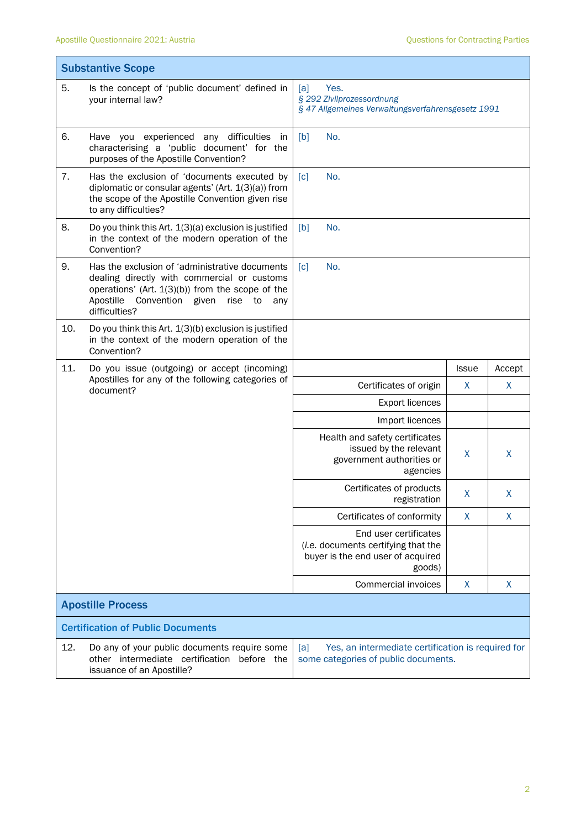|                          | <b>Substantive Scope</b>                                                                                                                                                                                                    |                                                                                                             |              |        |
|--------------------------|-----------------------------------------------------------------------------------------------------------------------------------------------------------------------------------------------------------------------------|-------------------------------------------------------------------------------------------------------------|--------------|--------|
| 5.                       | Is the concept of 'public document' defined in<br>your internal law?                                                                                                                                                        | Yes.<br>[a]<br>§ 292 Zivilprozessordnung<br>§ 47 Allgemeines Verwaltungsverfahrensgesetz 1991               |              |        |
| 6.                       | Have you experienced any difficulties<br>in<br>characterising a 'public document' for the<br>purposes of the Apostille Convention?                                                                                          | No.<br>[b]                                                                                                  |              |        |
| 7.                       | Has the exclusion of 'documents executed by<br>diplomatic or consular agents' (Art. 1(3)(a)) from<br>the scope of the Apostille Convention given rise<br>to any difficulties?                                               | [c]<br>No.                                                                                                  |              |        |
| 8.                       | Do you think this Art. 1(3)(a) exclusion is justified<br>in the context of the modern operation of the<br>Convention?                                                                                                       | No.<br>[b]                                                                                                  |              |        |
| 9.                       | Has the exclusion of 'administrative documents<br>dealing directly with commercial or customs<br>operations' (Art. $1(3)(b)$ ) from the scope of the<br>Apostille<br>Convention given<br>rise<br>to<br>any<br>difficulties? | [c]<br>No.                                                                                                  |              |        |
| 10.                      | Do you think this Art. 1(3)(b) exclusion is justified<br>in the context of the modern operation of the<br>Convention?                                                                                                       |                                                                                                             |              |        |
| 11.                      | Do you issue (outgoing) or accept (incoming)                                                                                                                                                                                |                                                                                                             | <b>Issue</b> | Accept |
|                          | Apostilles for any of the following categories of<br>document?                                                                                                                                                              | Certificates of origin                                                                                      | X            | X      |
|                          |                                                                                                                                                                                                                             | Export licences                                                                                             |              |        |
|                          |                                                                                                                                                                                                                             | Import licences                                                                                             |              |        |
|                          |                                                                                                                                                                                                                             | Health and safety certificates<br>issued by the relevant<br>government authorities or<br>agencies           | X            | X      |
|                          |                                                                                                                                                                                                                             | Certificates of products<br>registration                                                                    | X            | X      |
|                          |                                                                                                                                                                                                                             | Certificates of conformity                                                                                  | X            | X      |
|                          |                                                                                                                                                                                                                             | End user certificates<br>(i.e. documents certifying that the<br>buyer is the end user of acquired<br>goods) |              |        |
|                          |                                                                                                                                                                                                                             | Commercial invoices                                                                                         | X            | X      |
| <b>Apostille Process</b> |                                                                                                                                                                                                                             |                                                                                                             |              |        |
|                          | <b>Certification of Public Documents</b>                                                                                                                                                                                    |                                                                                                             |              |        |
| 12.                      | Do any of your public documents require some<br>other intermediate certification before the<br>issuance of an Apostille?                                                                                                    | [a]<br>Yes, an intermediate certification is required for<br>some categories of public documents.           |              |        |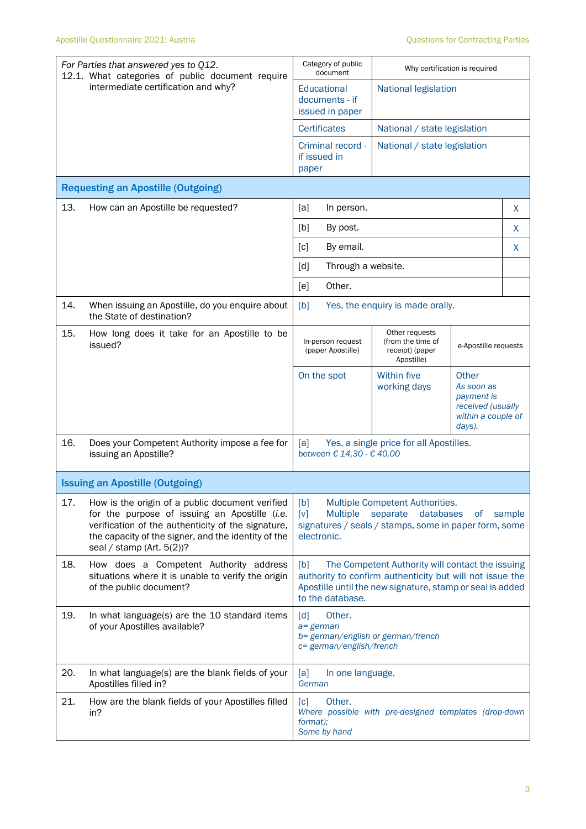|     | For Parties that answered yes to Q12.<br>12.1. What categories of public document require                                                                                                                                                     | Category of public<br>document                                                                                                                                                                       |                                                                                                                   | Why certification is required                                                          |        |
|-----|-----------------------------------------------------------------------------------------------------------------------------------------------------------------------------------------------------------------------------------------------|------------------------------------------------------------------------------------------------------------------------------------------------------------------------------------------------------|-------------------------------------------------------------------------------------------------------------------|----------------------------------------------------------------------------------------|--------|
|     | intermediate certification and why?                                                                                                                                                                                                           | Educational<br>documents - if<br>issued in paper                                                                                                                                                     | <b>National legislation</b>                                                                                       |                                                                                        |        |
|     |                                                                                                                                                                                                                                               | <b>Certificates</b>                                                                                                                                                                                  |                                                                                                                   | National / state legislation                                                           |        |
|     |                                                                                                                                                                                                                                               | Criminal record -<br>if issued in<br>paper                                                                                                                                                           | National / state legislation                                                                                      |                                                                                        |        |
|     | <b>Requesting an Apostille (Outgoing)</b>                                                                                                                                                                                                     |                                                                                                                                                                                                      |                                                                                                                   |                                                                                        |        |
| 13. | How can an Apostille be requested?                                                                                                                                                                                                            | [a]<br>In person.                                                                                                                                                                                    |                                                                                                                   |                                                                                        | X      |
|     |                                                                                                                                                                                                                                               | [b]<br>By post.                                                                                                                                                                                      |                                                                                                                   |                                                                                        | X      |
|     |                                                                                                                                                                                                                                               | [c]<br>By email.                                                                                                                                                                                     |                                                                                                                   |                                                                                        | X      |
|     |                                                                                                                                                                                                                                               | [d]<br>Through a website.                                                                                                                                                                            |                                                                                                                   |                                                                                        |        |
|     |                                                                                                                                                                                                                                               | Other.<br>[e]                                                                                                                                                                                        |                                                                                                                   |                                                                                        |        |
| 14. | When issuing an Apostille, do you enquire about<br>the State of destination?                                                                                                                                                                  | [b]                                                                                                                                                                                                  | Yes, the enquiry is made orally.                                                                                  |                                                                                        |        |
| 15. | How long does it take for an Apostille to be<br>issued?                                                                                                                                                                                       | In-person request<br>(paper Apostille)                                                                                                                                                               | Other requests<br>(from the time of<br>receipt) (paper<br>Apostille)                                              | e-Apostille requests                                                                   |        |
|     |                                                                                                                                                                                                                                               | On the spot                                                                                                                                                                                          | <b>Within five</b><br>working days                                                                                | Other<br>As soon as<br>payment is<br>received (usually<br>within a couple of<br>days). |        |
| 16. | Does your Competent Authority impose a fee for<br>issuing an Apostille?                                                                                                                                                                       | [a]<br>between € 14,30 - € 40,00                                                                                                                                                                     | Yes, a single price for all Apostilles.                                                                           |                                                                                        |        |
|     | <b>Issuing an Apostille (Outgoing)</b>                                                                                                                                                                                                        |                                                                                                                                                                                                      |                                                                                                                   |                                                                                        |        |
| 17. | How is the origin of a public document verified<br>for the purpose of issuing an Apostille (i.e.<br>verification of the authenticity of the signature,<br>the capacity of the signer, and the identity of the<br>seal / stamp (Art. $5(2)$ )? | [b]<br>$\lceil v \rceil$<br><b>Multiple</b><br>electronic.                                                                                                                                           | Multiple Competent Authorities.<br>databases<br>separate<br>signatures / seals / stamps, some in paper form, some | of                                                                                     | sample |
| 18. | How does a Competent Authority address<br>situations where it is unable to verify the origin<br>of the public document?                                                                                                                       | The Competent Authority will contact the issuing<br>[b]<br>authority to confirm authenticity but will not issue the<br>Apostille until the new signature, stamp or seal is added<br>to the database. |                                                                                                                   |                                                                                        |        |
| 19. | In what language(s) are the 10 standard items<br>of your Apostilles available?                                                                                                                                                                | $\lceil d \rceil$<br>Other.<br>$a = german$<br>b= german/english or german/french<br>c= german/english/french                                                                                        |                                                                                                                   |                                                                                        |        |
| 20. | In what language(s) are the blank fields of your<br>Apostilles filled in?                                                                                                                                                                     | [a]<br>In one language.<br>German                                                                                                                                                                    |                                                                                                                   |                                                                                        |        |
| 21. | How are the blank fields of your Apostilles filled<br>in?                                                                                                                                                                                     | Other.<br>$\lceil c \rceil$<br>format);<br>Some by hand                                                                                                                                              | Where possible with pre-designed templates (drop-down                                                             |                                                                                        |        |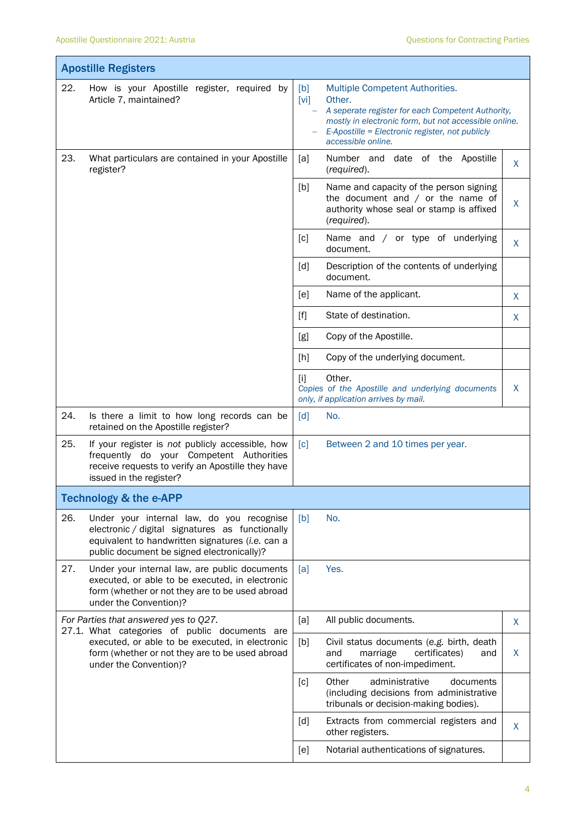$\overline{\phantom{a}}$ 

|     | <b>Apostille Registers</b>                                                                                                                                                                     |             |                                                                                                                                                                                                                                  |              |
|-----|------------------------------------------------------------------------------------------------------------------------------------------------------------------------------------------------|-------------|----------------------------------------------------------------------------------------------------------------------------------------------------------------------------------------------------------------------------------|--------------|
| 22. | How is your Apostille register, required by<br>Article 7, maintained?                                                                                                                          | [b]<br>[vi] | Multiple Competent Authorities.<br>Other.<br>A seperate register for each Competent Authority,<br>mostly in electronic form, but not accessible online.<br>E-Apostille = Electronic register, not publicly<br>accessible online. |              |
| 23. | What particulars are contained in your Apostille<br>register?                                                                                                                                  | [a]         | Number and date of the Apostille<br>(required).                                                                                                                                                                                  | $\mathsf{X}$ |
|     |                                                                                                                                                                                                | [b]         | Name and capacity of the person signing<br>the document and $/$ or the name of<br>authority whose seal or stamp is affixed<br>(required).                                                                                        | X            |
|     |                                                                                                                                                                                                | [c]         | Name and / or type of underlying<br>document.                                                                                                                                                                                    | X            |
|     |                                                                                                                                                                                                | [d]         | Description of the contents of underlying<br>document.                                                                                                                                                                           |              |
|     |                                                                                                                                                                                                | [e]         | Name of the applicant.                                                                                                                                                                                                           | X            |
|     |                                                                                                                                                                                                | [f]         | State of destination.                                                                                                                                                                                                            | X            |
|     |                                                                                                                                                                                                | [g]         | Copy of the Apostille.                                                                                                                                                                                                           |              |
|     |                                                                                                                                                                                                | [h]         | Copy of the underlying document.                                                                                                                                                                                                 |              |
|     |                                                                                                                                                                                                | $[1]$       | Other.<br>Copies of the Apostille and underlying documents<br>only, if application arrives by mail.                                                                                                                              | $\mathsf{X}$ |
| 24. | Is there a limit to how long records can be<br>retained on the Apostille register?                                                                                                             | [d]         | No.                                                                                                                                                                                                                              |              |
| 25. | If your register is not publicly accessible, how<br>frequently do your Competent Authorities<br>receive requests to verify an Apostille they have<br>issued in the register?                   | [c]         | Between 2 and 10 times per year.                                                                                                                                                                                                 |              |
|     | Technology & the e-APP                                                                                                                                                                         |             |                                                                                                                                                                                                                                  |              |
| 26. | Under your internal law, do you recognise<br>electronic / digital signatures as functionally<br>equivalent to handwritten signatures (i.e. can a<br>public document be signed electronically)? | [b]         | No.                                                                                                                                                                                                                              |              |
| 27. | Under your internal law, are public documents<br>executed, or able to be executed, in electronic<br>form (whether or not they are to be used abroad<br>under the Convention)?                  | [a]         | Yes.                                                                                                                                                                                                                             |              |
|     | For Parties that answered yes to Q27.<br>27.1. What categories of public documents are                                                                                                         | [a]         | All public documents.                                                                                                                                                                                                            | X            |
|     | executed, or able to be executed, in electronic<br>form (whether or not they are to be used abroad<br>under the Convention)?                                                                   | [b]         | Civil status documents (e.g. birth, death<br>and<br>certificates)<br>marriage<br>and<br>certificates of non-impediment.                                                                                                          | X            |
|     |                                                                                                                                                                                                | [c]         | Other<br>administrative<br>documents<br>(including decisions from administrative<br>tribunals or decision-making bodies).                                                                                                        |              |
|     |                                                                                                                                                                                                | [d]         | Extracts from commercial registers and<br>other registers.                                                                                                                                                                       | X            |
|     |                                                                                                                                                                                                | [e]         | Notarial authentications of signatures.                                                                                                                                                                                          |              |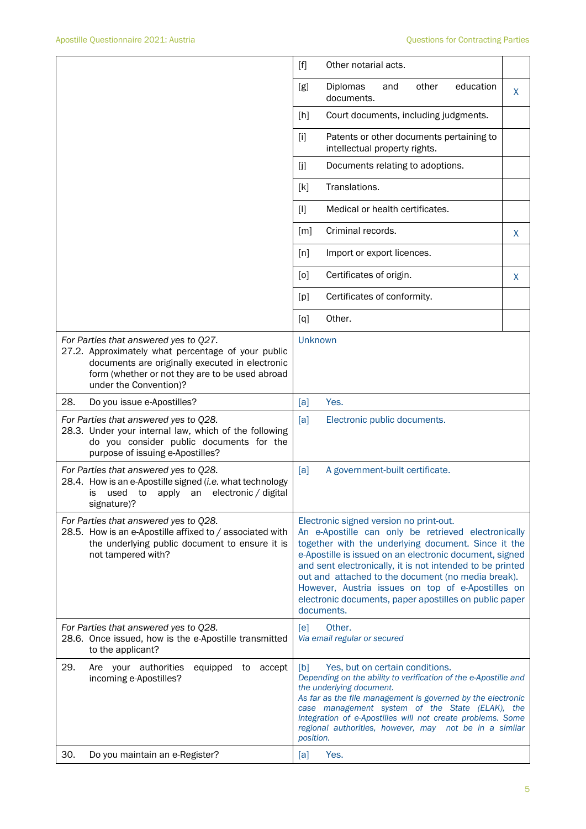|                                                                                                                                                                                                                             | $[f]$<br>Other notarial acts.                                                                                                                                                                                                                                                                                                                                                                                                                                    |  |  |
|-----------------------------------------------------------------------------------------------------------------------------------------------------------------------------------------------------------------------------|------------------------------------------------------------------------------------------------------------------------------------------------------------------------------------------------------------------------------------------------------------------------------------------------------------------------------------------------------------------------------------------------------------------------------------------------------------------|--|--|
|                                                                                                                                                                                                                             | education<br>Diplomas<br>other<br>[g]<br>and<br>X<br>documents.                                                                                                                                                                                                                                                                                                                                                                                                  |  |  |
|                                                                                                                                                                                                                             | [h]<br>Court documents, including judgments.                                                                                                                                                                                                                                                                                                                                                                                                                     |  |  |
|                                                                                                                                                                                                                             | Patents or other documents pertaining to<br>$[1]$<br>intellectual property rights.                                                                                                                                                                                                                                                                                                                                                                               |  |  |
|                                                                                                                                                                                                                             | [j]<br>Documents relating to adoptions.                                                                                                                                                                                                                                                                                                                                                                                                                          |  |  |
|                                                                                                                                                                                                                             | Translations.<br>[k]                                                                                                                                                                                                                                                                                                                                                                                                                                             |  |  |
|                                                                                                                                                                                                                             | Medical or health certificates.<br>$[1]$                                                                                                                                                                                                                                                                                                                                                                                                                         |  |  |
|                                                                                                                                                                                                                             | Criminal records.<br>[m]<br>X                                                                                                                                                                                                                                                                                                                                                                                                                                    |  |  |
|                                                                                                                                                                                                                             | [n]<br>Import or export licences.                                                                                                                                                                                                                                                                                                                                                                                                                                |  |  |
|                                                                                                                                                                                                                             | Certificates of origin.<br>[0]<br>X                                                                                                                                                                                                                                                                                                                                                                                                                              |  |  |
|                                                                                                                                                                                                                             | Certificates of conformity.<br>[p]                                                                                                                                                                                                                                                                                                                                                                                                                               |  |  |
|                                                                                                                                                                                                                             | Other.<br>$\lbrack q \rbrack$                                                                                                                                                                                                                                                                                                                                                                                                                                    |  |  |
| For Parties that answered yes to Q27.<br>27.2. Approximately what percentage of your public<br>documents are originally executed in electronic<br>form (whether or not they are to be used abroad<br>under the Convention)? | Unknown                                                                                                                                                                                                                                                                                                                                                                                                                                                          |  |  |
| 28.<br>Do you issue e-Apostilles?                                                                                                                                                                                           | [a]<br>Yes.                                                                                                                                                                                                                                                                                                                                                                                                                                                      |  |  |
| For Parties that answered yes to Q28.<br>28.3. Under your internal law, which of the following<br>do you consider public documents for the<br>purpose of issuing e-Apostilles?                                              | [a]<br>Electronic public documents.                                                                                                                                                                                                                                                                                                                                                                                                                              |  |  |
| For Parties that answered yes to Q28.<br>28.4. How is an e-Apostille signed (i.e. what technology<br>used to apply an electronic / digital<br>is<br>signature)?                                                             | A government-built certificate.<br>[a]                                                                                                                                                                                                                                                                                                                                                                                                                           |  |  |
| For Parties that answered yes to Q28.<br>28.5. How is an e-Apostille affixed to / associated with<br>the underlying public document to ensure it is<br>not tampered with?                                                   | Electronic signed version no print-out.<br>An e-Apostille can only be retrieved electronically<br>together with the underlying document. Since it the<br>e-Apostille is issued on an electronic document, signed<br>and sent electronically, it is not intended to be printed<br>out and attached to the document (no media break).<br>However, Austria issues on top of e-Apostilles on<br>electronic documents, paper apostilles on public paper<br>documents. |  |  |
| For Parties that answered yes to Q28.<br>28.6. Once issued, how is the e-Apostille transmitted<br>to the applicant?                                                                                                         | Other.<br>[e]<br>Via email regular or secured                                                                                                                                                                                                                                                                                                                                                                                                                    |  |  |
| 29.<br>Are your authorities<br>equipped to accept<br>incoming e-Apostilles?                                                                                                                                                 | [b]<br>Yes, but on certain conditions.<br>Depending on the ability to verification of the e-Apostille and<br>the underlying document.<br>As far as the file management is governed by the electronic<br>case management system of the State (ELAK), the<br>integration of e-Apostilles will not create problems. Some<br>regional authorities, however, may not be in a similar<br>position.                                                                     |  |  |
| 30.<br>Do you maintain an e-Register?                                                                                                                                                                                       | Yes.<br>[a]                                                                                                                                                                                                                                                                                                                                                                                                                                                      |  |  |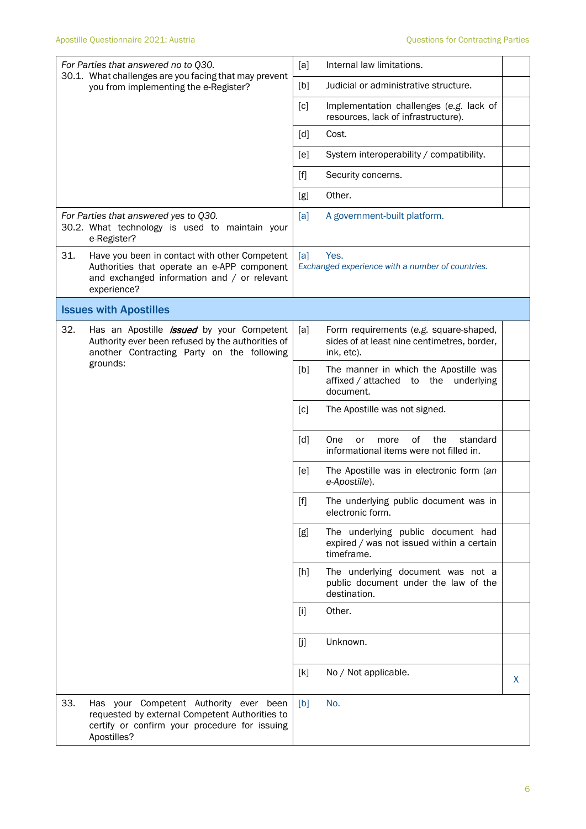|     | For Parties that answered no to Q30.<br>30.1. What challenges are you facing that may prevent<br>you from implementing the e-Register?                     | [a]               | Internal law limitations.                                                                           |   |
|-----|------------------------------------------------------------------------------------------------------------------------------------------------------------|-------------------|-----------------------------------------------------------------------------------------------------|---|
|     |                                                                                                                                                            | [b]               | Judicial or administrative structure.                                                               |   |
|     |                                                                                                                                                            | $\lceil c \rceil$ | Implementation challenges (e.g. lack of<br>resources, lack of infrastructure).                      |   |
|     |                                                                                                                                                            | $\lceil d \rceil$ | Cost.                                                                                               |   |
|     |                                                                                                                                                            | [e]               | System interoperability / compatibility.                                                            |   |
|     |                                                                                                                                                            | $[f]$             | Security concerns.                                                                                  |   |
|     |                                                                                                                                                            | [g]               | Other.                                                                                              |   |
|     | For Parties that answered yes to Q30.<br>30.2. What technology is used to maintain your<br>e-Register?                                                     | [a]               | A government-built platform.                                                                        |   |
| 31. | Have you been in contact with other Competent<br>Authorities that operate an e-APP component<br>and exchanged information and / or relevant<br>experience? | [a]               | Yes.<br>Exchanged experience with a number of countries.                                            |   |
|     | <b>Issues with Apostilles</b>                                                                                                                              |                   |                                                                                                     |   |
| 32. | Has an Apostille <i>issued</i> by your Competent<br>Authority ever been refused by the authorities of<br>another Contracting Party on the following        | [a]               | Form requirements (e.g. square-shaped,<br>sides of at least nine centimetres, border,<br>ink, etc). |   |
|     | grounds:                                                                                                                                                   | [b]               | The manner in which the Apostille was<br>affixed / attached<br>the<br>underlying<br>to<br>document. |   |
|     |                                                                                                                                                            | [c]               | The Apostille was not signed.                                                                       |   |
|     |                                                                                                                                                            | [d]               | οf<br>standard<br>the<br>One<br>or<br>more<br>informational items were not filled in.               |   |
|     |                                                                                                                                                            | [ <sub>e</sub> ]  | The Apostille was in electronic form (an<br>e-Apostille).                                           |   |
|     |                                                                                                                                                            | $[f]$             | The underlying public document was in<br>electronic form.                                           |   |
|     |                                                                                                                                                            | [g]               | The underlying public document had<br>expired / was not issued within a certain<br>timeframe.       |   |
|     |                                                                                                                                                            | [h]               | The underlying document was not a<br>public document under the law of the<br>destination.           |   |
|     |                                                                                                                                                            | $[1]$             | Other.                                                                                              |   |
|     |                                                                                                                                                            | [j]               | Unknown.                                                                                            |   |
|     |                                                                                                                                                            | [k]               | No / Not applicable.                                                                                | X |
| 33. | Has your Competent Authority ever been<br>requested by external Competent Authorities to<br>certify or confirm your procedure for issuing<br>Apostilles?   | [b]               | No.                                                                                                 |   |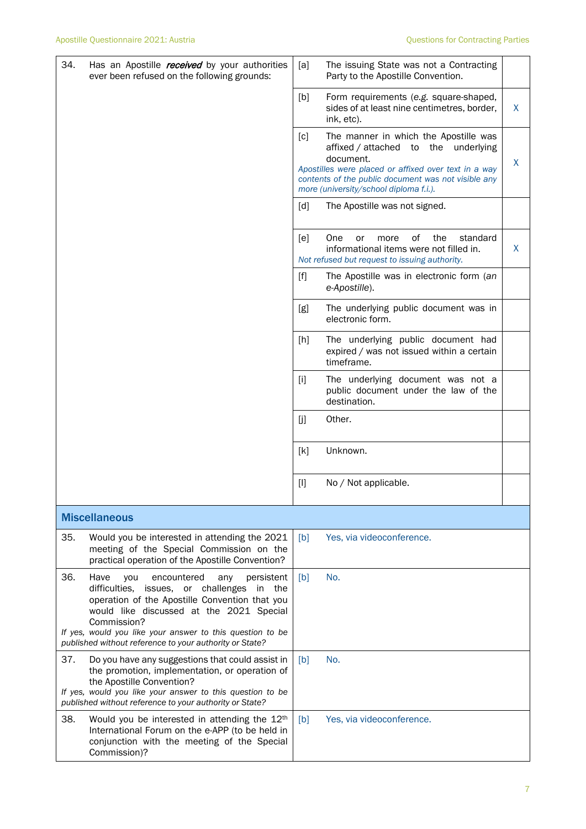| 34. | Has an Apostille <i>received</i> by your authorities<br>ever been refused on the following grounds:                                                                                                                                                                                                                                         | [a]   | The issuing State was not a Contracting<br>Party to the Apostille Convention.                                                                                                                                                                       |    |
|-----|---------------------------------------------------------------------------------------------------------------------------------------------------------------------------------------------------------------------------------------------------------------------------------------------------------------------------------------------|-------|-----------------------------------------------------------------------------------------------------------------------------------------------------------------------------------------------------------------------------------------------------|----|
|     |                                                                                                                                                                                                                                                                                                                                             | [b]   | Form requirements (e.g. square-shaped,<br>sides of at least nine centimetres, border,<br>ink, etc).                                                                                                                                                 | X  |
|     |                                                                                                                                                                                                                                                                                                                                             | [c]   | The manner in which the Apostille was<br>affixed / attached to the underlying<br>document.<br>Apostilles were placed or affixed over text in a way<br>contents of the public document was not visible any<br>more (university/school diploma f.i.). | X. |
|     |                                                                                                                                                                                                                                                                                                                                             | [d]   | The Apostille was not signed.                                                                                                                                                                                                                       |    |
|     |                                                                                                                                                                                                                                                                                                                                             | [e]   | of<br>One<br>the<br>standard<br>or<br>more<br>informational items were not filled in.<br>Not refused but request to issuing authority.                                                                                                              | X  |
|     |                                                                                                                                                                                                                                                                                                                                             | $[f]$ | The Apostille was in electronic form (an<br>e-Apostille).                                                                                                                                                                                           |    |
|     |                                                                                                                                                                                                                                                                                                                                             | [g]   | The underlying public document was in<br>electronic form.                                                                                                                                                                                           |    |
|     |                                                                                                                                                                                                                                                                                                                                             | [h]   | The underlying public document had<br>expired / was not issued within a certain<br>timeframe.                                                                                                                                                       |    |
|     |                                                                                                                                                                                                                                                                                                                                             | $[1]$ | The underlying document was not a<br>public document under the law of the<br>destination.                                                                                                                                                           |    |
|     |                                                                                                                                                                                                                                                                                                                                             | [j]   | Other.                                                                                                                                                                                                                                              |    |
|     |                                                                                                                                                                                                                                                                                                                                             | [k]   | Unknown.                                                                                                                                                                                                                                            |    |
|     |                                                                                                                                                                                                                                                                                                                                             | $[1]$ | No / Not applicable.                                                                                                                                                                                                                                |    |
|     | <b>Miscellaneous</b>                                                                                                                                                                                                                                                                                                                        |       |                                                                                                                                                                                                                                                     |    |
| 35. | Would you be interested in attending the 2021<br>meeting of the Special Commission on the<br>practical operation of the Apostille Convention?                                                                                                                                                                                               | [b]   | Yes, via videoconference.                                                                                                                                                                                                                           |    |
| 36. | Have<br>encountered<br>persistent<br>you<br>any<br>difficulties.<br>issues, or challenges<br>in<br>the<br>operation of the Apostille Convention that you<br>would like discussed at the 2021 Special<br>Commission?<br>If yes, would you like your answer to this question to be<br>published without reference to your authority or State? | [b]   | No.                                                                                                                                                                                                                                                 |    |
| 37. | Do you have any suggestions that could assist in<br>the promotion, implementation, or operation of<br>the Apostille Convention?<br>If yes, would you like your answer to this question to be<br>published without reference to your authority or State?                                                                                     | [b]   | No.                                                                                                                                                                                                                                                 |    |
| 38. | Would you be interested in attending the 12 <sup>th</sup><br>International Forum on the e-APP (to be held in<br>conjunction with the meeting of the Special<br>Commission)?                                                                                                                                                                 | [b]   | Yes, via videoconference.                                                                                                                                                                                                                           |    |